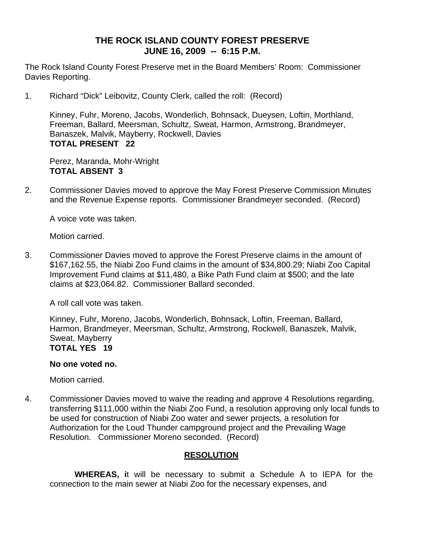# **THE ROCK ISLAND COUNTY FOREST PRESERVE JUNE 16, 2009 -- 6:15 P.M.**

The Rock Island County Forest Preserve met in the Board Members' Room: Commissioner Davies Reporting.

1. Richard "Dick" Leibovitz, County Clerk, called the roll: (Record)

Kinney, Fuhr, Moreno, Jacobs, Wonderlich, Bohnsack, Dueysen, Loftin, Morthland, Freeman, Ballard, Meersman, Schultz, Sweat, Harmon, Armstrong, Brandmeyer, Banaszek, Malvik, Mayberry, Rockwell, Davies **TOTAL PRESENT 22** 

Perez, Maranda, Mohr-Wright **TOTAL ABSENT 3** 

2. Commissioner Davies moved to approve the May Forest Preserve Commission Minutes and the Revenue Expense reports. Commissioner Brandmeyer seconded. (Record)

A voice vote was taken.

Motion carried.

3. Commissioner Davies moved to approve the Forest Preserve claims in the amount of \$167,162.55, the Niabi Zoo Fund claims in the amount of \$34,800.29; Niabi Zoo Capital Improvement Fund claims at \$11,480, a Bike Path Fund claim at \$500; and the late claims at \$23,064.82. Commissioner Ballard seconded.

A roll call vote was taken.

Kinney, Fuhr, Moreno, Jacobs, Wonderlich, Bohnsack, Loftin, Freeman, Ballard, Harmon, Brandmeyer, Meersman, Schultz, Armstrong, Rockwell, Banaszek, Malvik, Sweat, Mayberry **TOTAL YES 19** 

# **No one voted no.**

Motion carried.

4. Commissioner Davies moved to waive the reading and approve 4 Resolutions regarding, transferring \$111,000 within the Niabi Zoo Fund, a resolution approving only local funds to be used for construction of Niabi Zoo water and sewer projects, a resolution for Authorization for the Loud Thunder campground project and the Prevailing Wage Resolution. Commissioner Moreno seconded. (Record)

# **RESOLUTION**

 **WHEREAS, i**t will be necessary to submit a Schedule A to IEPA for the connection to the main sewer at Niabi Zoo for the necessary expenses, and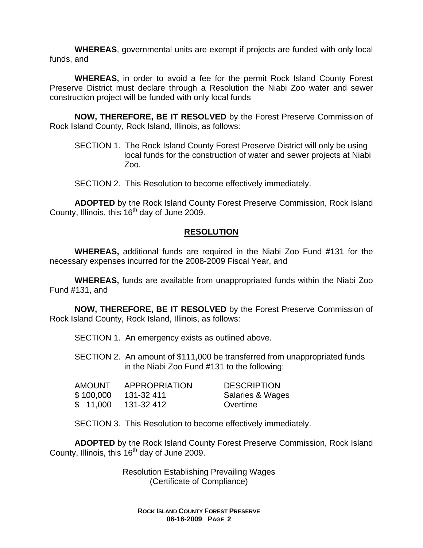**WHEREAS**, governmental units are exempt if projects are funded with only local funds, and

**WHEREAS,** in order to avoid a fee for the permit Rock Island County Forest Preserve District must declare through a Resolution the Niabi Zoo water and sewer construction project will be funded with only local funds

**NOW, THEREFORE, BE IT RESOLVED** by the Forest Preserve Commission of Rock Island County, Rock Island, Illinois, as follows:

SECTION 1. The Rock Island County Forest Preserve District will only be using local funds for the construction of water and sewer projects at Niabi Zoo.

SECTION 2. This Resolution to become effectively immediately.

**ADOPTED** by the Rock Island County Forest Preserve Commission, Rock Island County, Illinois, this 16<sup>th</sup> day of June 2009.

# **RESOLUTION**

 **WHEREAS,** additional funds are required in the Niabi Zoo Fund #131 for the necessary expenses incurred for the 2008-2009 Fiscal Year, and

**WHEREAS,** funds are available from unappropriated funds within the Niabi Zoo Fund #131, and

**NOW, THEREFORE, BE IT RESOLVED** by the Forest Preserve Commission of Rock Island County, Rock Island, Illinois, as follows:

SECTION 1. An emergency exists as outlined above.

SECTION 2. An amount of \$111,000 be transferred from unappropriated funds in the Niabi Zoo Fund #131 to the following:

| AMOUNT    | APPROPRIATION | <b>DESCRIPTION</b> |
|-----------|---------------|--------------------|
| \$100,000 | 131-32 411    | Salaries & Wages   |
| \$11,000  | 131-32 412    | Overtime           |

SECTION 3. This Resolution to become effectively immediately.

**ADOPTED** by the Rock Island County Forest Preserve Commission, Rock Island County, Illinois, this  $16<sup>th</sup>$  day of June 2009.

> Resolution Establishing Prevailing Wages (Certificate of Compliance)

**ROCK ISLAND COUNTY FOREST PRESERVE 06-16-2009 PAGE 2**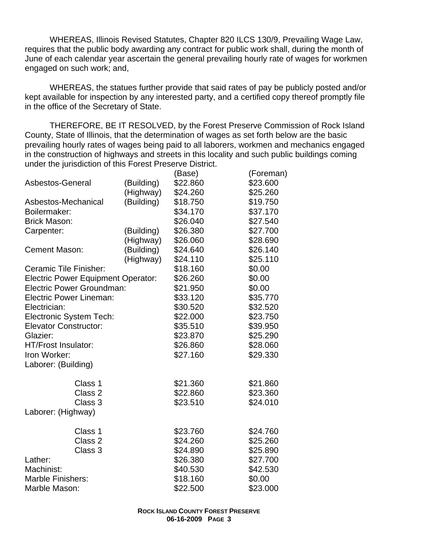WHEREAS, Illinois Revised Statutes, Chapter 820 ILCS 130/9, Prevailing Wage Law, requires that the public body awarding any contract for public work shall, during the month of June of each calendar year ascertain the general prevailing hourly rate of wages for workmen engaged on such work; and,

WHEREAS, the statues further provide that said rates of pay be publicly posted and/or kept available for inspection by any interested party, and a certified copy thereof promptly file in the office of the Secretary of State.

THEREFORE, BE IT RESOLVED, by the Forest Preserve Commission of Rock Island County, State of Illinois, that the determination of wages as set forth below are the basic prevailing hourly rates of wages being paid to all laborers, workmen and mechanics engaged in the construction of highways and streets in this locality and such public buildings coming under the jurisdiction of this Forest Preserve District.

|                                           |            | (Base)   | (Foreman) |
|-------------------------------------------|------------|----------|-----------|
| Asbestos-General                          | (Building) | \$22.860 | \$23.600  |
|                                           | (Highway)  | \$24.260 | \$25.260  |
| Asbestos-Mechanical                       | (Building) | \$18.750 | \$19.750  |
| Boilermaker:                              |            | \$34.170 | \$37.170  |
| <b>Brick Mason:</b>                       |            | \$26.040 | \$27.540  |
| Carpenter:                                | (Building) | \$26.380 | \$27.700  |
|                                           | (Highway)  | \$26.060 | \$28.690  |
| <b>Cement Mason:</b>                      | (Building) | \$24.640 | \$26.140  |
|                                           | (Highway)  | \$24.110 | \$25.110  |
| Ceramic Tile Finisher:                    |            | \$18.160 | \$0.00    |
| <b>Electric Power Equipment Operator:</b> |            | \$26.260 | \$0.00    |
| <b>Electric Power Groundman:</b>          |            | \$21.950 | \$0.00    |
| <b>Electric Power Lineman:</b>            |            | \$33.120 | \$35.770  |
| Electrician:                              |            | \$30.520 | \$32.520  |
| <b>Electronic System Tech:</b>            |            | \$22.000 | \$23.750  |
| <b>Elevator Constructor:</b>              |            | \$35.510 | \$39.950  |
| Glazier:                                  |            | \$23.870 | \$25.290  |
| HT/Frost Insulator:                       |            | \$26.860 | \$28.060  |
| Iron Worker:                              |            | \$27.160 | \$29.330  |
| Laborer: (Building)                       |            |          |           |
| Class 1                                   |            | \$21.360 | \$21.860  |
| Class 2                                   |            | \$22.860 | \$23.360  |
| Class 3                                   |            | \$23.510 | \$24.010  |
| Laborer: (Highway)                        |            |          |           |
| Class 1                                   |            | \$23.760 | \$24.760  |
| Class 2                                   |            | \$24.260 | \$25.260  |
| Class 3                                   |            | \$24.890 | \$25.890  |
| Lather:                                   |            | \$26.380 | \$27.700  |
| Machinist:                                |            | \$40.530 | \$42.530  |
| <b>Marble Finishers:</b>                  |            | \$18.160 | \$0.00    |
| Marble Mason:                             |            | \$22.500 | \$23.000  |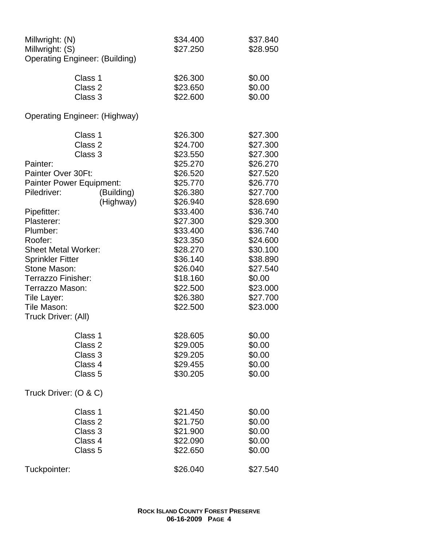| Millwright: (N)<br>Millwright: (S) | <b>Operating Engineer: (Building)</b> | \$34.400<br>\$27.250 | \$37.840<br>\$28.950 |
|------------------------------------|---------------------------------------|----------------------|----------------------|
|                                    |                                       |                      |                      |
|                                    | Class 1                               | \$26.300             | \$0.00               |
|                                    | Class 2                               | \$23.650             | \$0.00               |
|                                    | Class 3                               | \$22.600             | \$0.00               |
|                                    | <b>Operating Engineer: (Highway)</b>  |                      |                      |
|                                    | Class 1                               | \$26.300             | \$27.300             |
|                                    | Class 2                               | \$24.700             | \$27.300             |
|                                    | Class 3                               | \$23.550             | \$27.300             |
| Painter:                           |                                       | \$25.270             | \$26.270             |
| Painter Over 30Ft:                 |                                       | \$26.520             | \$27.520             |
| <b>Painter Power Equipment:</b>    |                                       | \$25.770             | \$26.770             |
| Piledriver:                        | (Building)                            | \$26.380             | \$27.700             |
|                                    | (Highway)                             | \$26.940             | \$28.690             |
| Pipefitter:                        |                                       | \$33.400             | \$36.740             |
| Plasterer:                         |                                       | \$27.300             | \$29.300             |
| Plumber:                           |                                       | \$33.400             | \$36.740             |
| Roofer:                            |                                       | \$23.350             | \$24.600             |
| <b>Sheet Metal Worker:</b>         |                                       | \$28.270             | \$30.100             |
| <b>Sprinkler Fitter</b>            |                                       | \$36.140             | \$38.890             |
| Stone Mason:                       |                                       | \$26.040             | \$27.540             |
| Terrazzo Finisher:                 |                                       | \$18.160             | \$0.00               |
| Terrazzo Mason:                    |                                       | \$22.500             | \$23.000             |
| Tile Layer:                        |                                       | \$26.380             | \$27.700             |
| Tile Mason:                        |                                       | \$22.500             | \$23.000             |
| Truck Driver: (All)                |                                       |                      |                      |
|                                    |                                       |                      |                      |
|                                    | Class 1                               | \$28.605             | \$0.00               |
|                                    | Class 2                               | \$29.005             | \$0.00               |
|                                    | Class 3                               | \$29.205             | \$0.00               |
|                                    | Class 4                               | \$29.455             | \$0.00               |
|                                    | Class <sub>5</sub>                    | \$30.205             | \$0.00               |
| Truck Driver: (O & C)              |                                       |                      |                      |
|                                    | Class 1                               | \$21.450             | \$0.00               |
|                                    | Class 2                               | \$21.750             | \$0.00               |
|                                    | Class 3                               | \$21.900             | \$0.00               |
|                                    | Class 4                               | \$22.090             | \$0.00               |
|                                    | Class 5                               | \$22.650             | \$0.00               |
|                                    |                                       |                      |                      |
| Tuckpointer:                       |                                       | \$26.040             | \$27.540             |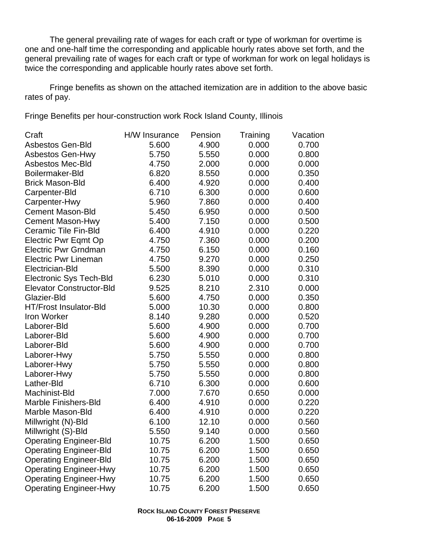The general prevailing rate of wages for each craft or type of workman for overtime is one and one-half time the corresponding and applicable hourly rates above set forth, and the general prevailing rate of wages for each craft or type of workman for work on legal holidays is twice the corresponding and applicable hourly rates above set forth.

Fringe benefits as shown on the attached itemization are in addition to the above basic rates of pay.

Fringe Benefits per hour-construction work Rock Island County, Illinois

| Craft                           | H/W Insurance | Pension | Training | Vacation |
|---------------------------------|---------------|---------|----------|----------|
| <b>Asbestos Gen-Bld</b>         | 5.600         | 4.900   | 0.000    | 0.700    |
| <b>Asbestos Gen-Hwy</b>         | 5.750         | 5.550   | 0.000    | 0.800    |
| <b>Asbestos Mec-Bld</b>         | 4.750         | 2.000   | 0.000    | 0.000    |
| Boilermaker-Bld                 | 6.820         | 8.550   | 0.000    | 0.350    |
| <b>Brick Mason-Bld</b>          | 6.400         | 4.920   | 0.000    | 0.400    |
| Carpenter-Bld                   | 6.710         | 6.300   | 0.000    | 0.600    |
| Carpenter-Hwy                   | 5.960         | 7.860   | 0.000    | 0.400    |
| <b>Cement Mason-Bld</b>         | 5.450         | 6.950   | 0.000    | 0.500    |
| <b>Cement Mason-Hwy</b>         | 5.400         | 7.150   | 0.000    | 0.500    |
| Ceramic Tile Fin-Bld            | 6.400         | 4.910   | 0.000    | 0.220    |
| Electric Pwr Eqmt Op            | 4.750         | 7.360   | 0.000    | 0.200    |
| <b>Electric Pwr Grndman</b>     | 4.750         | 6.150   | 0.000    | 0.160    |
| <b>Electric Pwr Lineman</b>     | 4.750         | 9.270   | 0.000    | 0.250    |
| Electrician-Bld                 | 5.500         | 8.390   | 0.000    | 0.310    |
| <b>Electronic Sys Tech-Bld</b>  | 6.230         | 5.010   | 0.000    | 0.310    |
| <b>Elevator Constructor-Bld</b> | 9.525         | 8.210   | 2.310    | 0.000    |
| Glazier-Bld                     | 5.600         | 4.750   | 0.000    | 0.350    |
| HT/Frost Insulator-Bld          | 5.000         | 10.30   | 0.000    | 0.800    |
| Iron Worker                     | 8.140         | 9.280   | 0.000    | 0.520    |
| Laborer-Bld                     | 5.600         | 4.900   | 0.000    | 0.700    |
| Laborer-Bld                     | 5.600         | 4.900   | 0.000    | 0.700    |
| Laborer-Bld                     | 5.600         | 4.900   | 0.000    | 0.700    |
| Laborer-Hwy                     | 5.750         | 5.550   | 0.000    | 0.800    |
| Laborer-Hwy                     | 5.750         | 5.550   | 0.000    | 0.800    |
| Laborer-Hwy                     | 5.750         | 5.550   | 0.000    | 0.800    |
| Lather-Bld                      | 6.710         | 6.300   | 0.000    | 0.600    |
| Machinist-Bld                   | 7.000         | 7.670   | 0.650    | 0.000    |
| <b>Marble Finishers-Bld</b>     | 6.400         | 4.910   | 0.000    | 0.220    |
| Marble Mason-Bld                | 6.400         | 4.910   | 0.000    | 0.220    |
| Millwright (N)-Bld              | 6.100         | 12.10   | 0.000    | 0.560    |
| Millwright (S)-Bld              | 5.550         | 9.140   | 0.000    | 0.560    |
| <b>Operating Engineer-Bld</b>   | 10.75         | 6.200   | 1.500    | 0.650    |
| <b>Operating Engineer-Bld</b>   | 10.75         | 6.200   | 1.500    | 0.650    |
| <b>Operating Engineer-Bld</b>   | 10.75         | 6.200   | 1.500    | 0.650    |
| <b>Operating Engineer-Hwy</b>   | 10.75         | 6.200   | 1.500    | 0.650    |
| <b>Operating Engineer-Hwy</b>   | 10.75         | 6.200   | 1.500    | 0.650    |
| <b>Operating Engineer-Hwy</b>   | 10.75         | 6.200   | 1.500    | 0.650    |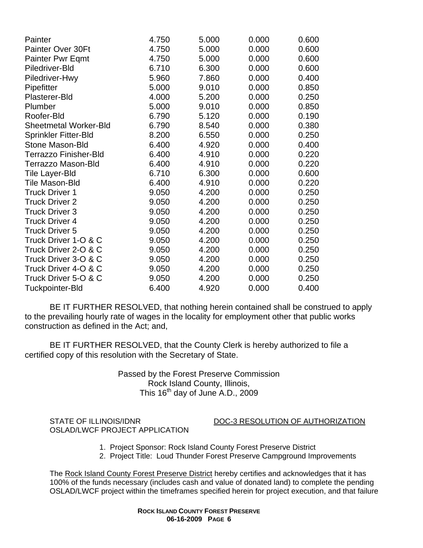| Painter                      | 4.750 | 5.000 | 0.000 | 0.600 |
|------------------------------|-------|-------|-------|-------|
| Painter Over 30Ft            | 4.750 | 5.000 | 0.000 | 0.600 |
| <b>Painter Pwr Eqmt</b>      | 4.750 | 5.000 | 0.000 | 0.600 |
| Piledriver-Bld               | 6.710 | 6.300 | 0.000 | 0.600 |
| Piledriver-Hwy               | 5.960 | 7.860 | 0.000 | 0.400 |
| Pipefitter                   | 5.000 | 9.010 | 0.000 | 0.850 |
| Plasterer-Bld                | 4.000 | 5.200 | 0.000 | 0.250 |
| Plumber                      | 5.000 | 9.010 | 0.000 | 0.850 |
| Roofer-Bld                   | 6.790 | 5.120 | 0.000 | 0.190 |
| <b>Sheetmetal Worker-Bld</b> | 6.790 | 8.540 | 0.000 | 0.380 |
| <b>Sprinkler Fitter-Bld</b>  | 8.200 | 6.550 | 0.000 | 0.250 |
| <b>Stone Mason-Bld</b>       | 6.400 | 4.920 | 0.000 | 0.400 |
| <b>Terrazzo Finisher-Bld</b> | 6.400 | 4.910 | 0.000 | 0.220 |
| <b>Terrazzo Mason-Bld</b>    | 6.400 | 4.910 | 0.000 | 0.220 |
| Tile Layer-Bld               | 6.710 | 6.300 | 0.000 | 0.600 |
| <b>Tile Mason-Bld</b>        | 6.400 | 4.910 | 0.000 | 0.220 |
| <b>Truck Driver 1</b>        | 9.050 | 4.200 | 0.000 | 0.250 |
| <b>Truck Driver 2</b>        | 9.050 | 4.200 | 0.000 | 0.250 |
| <b>Truck Driver 3</b>        | 9.050 | 4.200 | 0.000 | 0.250 |
| <b>Truck Driver 4</b>        | 9.050 | 4.200 | 0.000 | 0.250 |
| <b>Truck Driver 5</b>        | 9.050 | 4.200 | 0.000 | 0.250 |
| Truck Driver 1-O & C         | 9.050 | 4.200 | 0.000 | 0.250 |
| Truck Driver 2-O & C         | 9.050 | 4.200 | 0.000 | 0.250 |
| Truck Driver 3-O & C         | 9.050 | 4.200 | 0.000 | 0.250 |
| Truck Driver 4-O & C         | 9.050 | 4.200 | 0.000 | 0.250 |
| Truck Driver 5-O & C         | 9.050 | 4.200 | 0.000 | 0.250 |
| <b>Tuckpointer-Bld</b>       | 6.400 | 4.920 | 0.000 | 0.400 |

BE IT FURTHER RESOLVED, that nothing herein contained shall be construed to apply to the prevailing hourly rate of wages in the locality for employment other that public works construction as defined in the Act; and,

BE IT FURTHER RESOLVED, that the County Clerk is hereby authorized to file a certified copy of this resolution with the Secretary of State.

> Passed by the Forest Preserve Commission Rock Island County, Illinois, This  $16^{th}$  day of June A.D., 2009

OSLAD/LWCF PROJECT APPLICATION

STATE OF ILLINOIS/IDNR DOC-3 RESOLUTION OF AUTHORIZATION

- 1. Project Sponsor: Rock Island County Forest Preserve District
- 2. Project Title: Loud Thunder Forest Preserve Campground Improvements

 The Rock Island County Forest Preserve District hereby certifies and acknowledges that it has 100% of the funds necessary (includes cash and value of donated land) to complete the pending OSLAD/LWCF project within the timeframes specified herein for project execution, and that failure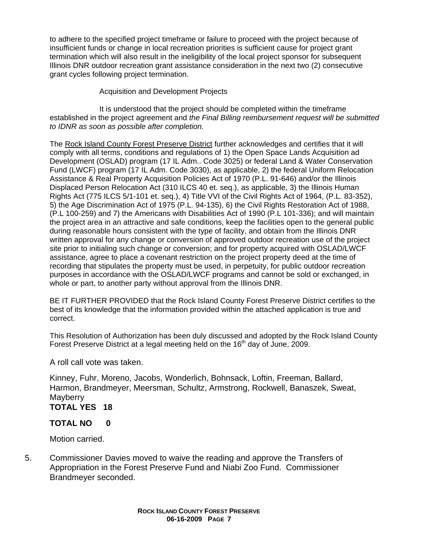to adhere to the specified project timeframe or failure to proceed with the project because of insufficient funds or change in local recreation priorities is sufficient cause for project grant termination which will also result in the ineligibility of the local project sponsor for subsequent Illinois DNR outdoor recreation grant assistance consideration in the next two (2) consecutive grant cycles following project termination.

### Acquisition and Development Projects

It is understood that the project should be completed within the timeframe established in the project agreement and *the Final Billing reimbursement request will be submitted to IDNR as soon as possible after completion.*

 The Rock Island County Forest Preserve District further acknowledges and certifies that it will comply with all terms, conditions and regulations of 1) the Open Space Lands Acquisition ad Development (OSLAD) program (17 IL Adm.. Code 3025) or federal Land & Water Conservation Fund (LWCF) program (17 IL Adm. Code 3030), as applicable, 2) the federal Uniform Relocation Assistance & Real Property Acquisition Policies Act of 1970 (P.L. 91-646) and/or the Illinois Displaced Person Relocation Act (310 ILCS 40 et. seq.), as applicable, 3) the Illinois Human Rights Act (775 ILCS 5/1-101 et. seq.), 4) Title VVI of the Civil Rights Act of 1964, (P.L. 83-352), 5) the Age Discrimination Act of 1975 (P.L. 94-135), 6) the Civil Rights Restoration Act of 1988, (P.L 100-259) and 7) the Americans with Disabilities Act of 1990 (P.L 101-336); and will maintain the project area in an attractive and safe conditions, keep the facilities open to the general public during reasonable hours consistent with the type of facility, and obtain from the Illinois DNR written approval for any change or conversion of approved outdoor recreation use of the project site prior to initialing such change or conversion; and for property acquired with OSLAD/LWCF assistance, agree to place a covenant restriction on the project property deed at the time of recording that stipulates the property must be used, in perpetuity, for public outdoor recreation purposes in accordance with the OSLAD/LWCF programs and cannot be sold or exchanged, in whole or part, to another party without approval from the Illinois DNR.

BE IT FURTHER PROVIDED that the Rock Island County Forest Preserve District certifies to the best of its knowledge that the information provided within the attached application is true and correct.

This Resolution of Authorization has been duly discussed and adopted by the Rock Island County Forest Preserve District at a legal meeting held on the 16<sup>th</sup> day of June, 2009.

A roll call vote was taken.

Kinney, Fuhr, Moreno, Jacobs, Wonderlich, Bohnsack, Loftin, Freeman, Ballard, Harmon, Brandmeyer, Meersman, Schultz, Armstrong, Rockwell, Banaszek, Sweat, **Mayberry** 

# **TOTAL YES 18**

# **TOTAL NO 0**

Motion carried.

5. Commissioner Davies moved to waive the reading and approve the Transfers of Appropriation in the Forest Preserve Fund and Niabi Zoo Fund. Commissioner Brandmeyer seconded.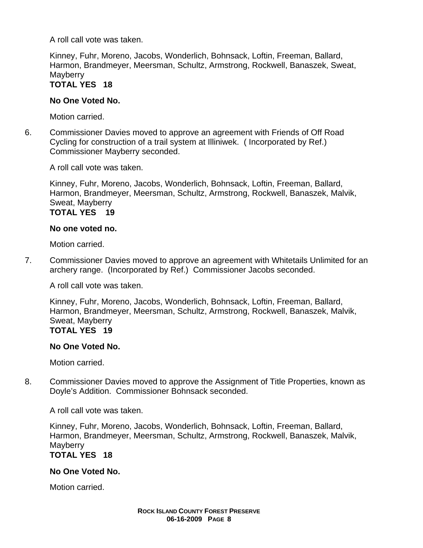A roll call vote was taken.

Kinney, Fuhr, Moreno, Jacobs, Wonderlich, Bohnsack, Loftin, Freeman, Ballard, Harmon, Brandmeyer, Meersman, Schultz, Armstrong, Rockwell, Banaszek, Sweat, **Mayberry** 

# **TOTAL YES 18**

### **No One Voted No.**

Motion carried.

6. Commissioner Davies moved to approve an agreement with Friends of Off Road Cycling for construction of a trail system at Illiniwek. ( Incorporated by Ref.) Commissioner Mayberry seconded.

A roll call vote was taken.

Kinney, Fuhr, Moreno, Jacobs, Wonderlich, Bohnsack, Loftin, Freeman, Ballard, Harmon, Brandmeyer, Meersman, Schultz, Armstrong, Rockwell, Banaszek, Malvik, Sweat, Mayberry

**TOTAL YES 19** 

#### **No one voted no.**

Motion carried.

7. Commissioner Davies moved to approve an agreement with Whitetails Unlimited for an archery range. (Incorporated by Ref.) Commissioner Jacobs seconded.

A roll call vote was taken.

Kinney, Fuhr, Moreno, Jacobs, Wonderlich, Bohnsack, Loftin, Freeman, Ballard, Harmon, Brandmeyer, Meersman, Schultz, Armstrong, Rockwell, Banaszek, Malvik, Sweat, Mayberry **TOTAL YES 19** 

#### **No One Voted No.**

Motion carried.

8. Commissioner Davies moved to approve the Assignment of Title Properties, known as Doyle's Addition. Commissioner Bohnsack seconded.

A roll call vote was taken.

Kinney, Fuhr, Moreno, Jacobs, Wonderlich, Bohnsack, Loftin, Freeman, Ballard, Harmon, Brandmeyer, Meersman, Schultz, Armstrong, Rockwell, Banaszek, Malvik, **Mayberry** 

# **TOTAL YES 18**

# **No One Voted No.**

Motion carried.